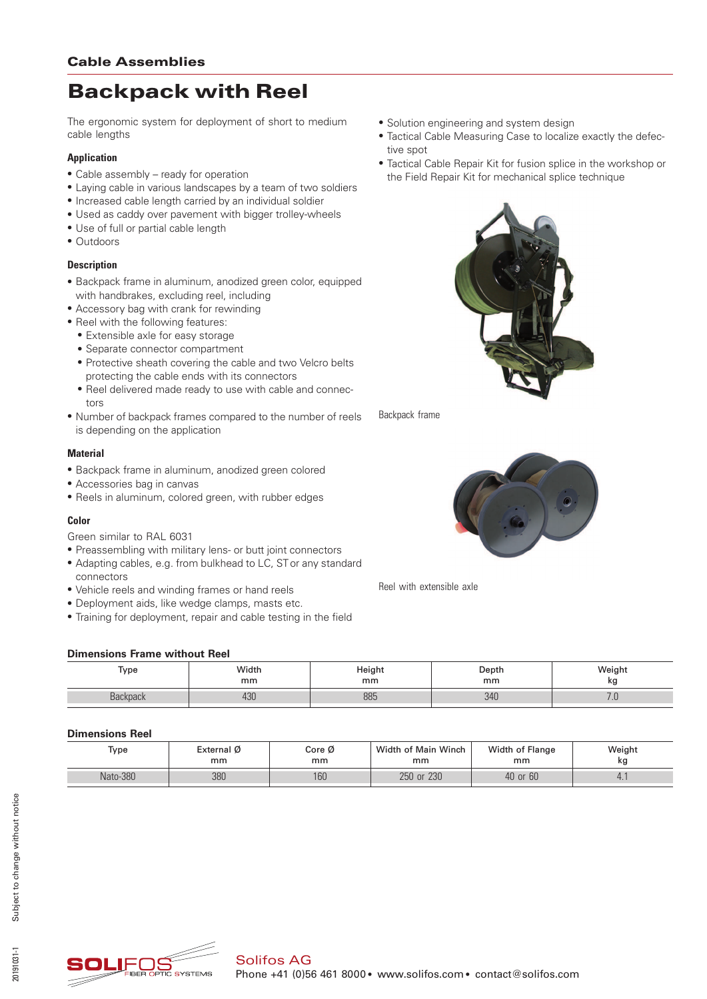# Backpack with Reel

The ergonomic system for deployment of short to medium cable lengths

# **Application**

- Cable assembly ready for operation
- \* Laying cable in various landscapes by a team of two soldiers
- \* Increased cable length carried by an individual soldier
- Used as caddy over pavement with bigger trolley-wheels
- Use of full or partial cable length
- Outdoors

# **Description**

- \* Backpack frame in aluminum, anodized green color, equipped with handbrakes, excluding reel, including
- Accessory bag with crank for rewinding
- Reel with the following features:
	- Extensible axle for easy storage
	- \* Separate connector compartment
	- Protective sheath covering the cable and two Velcro belts protecting the cable ends with its connectors
	- Reel delivered made ready to use with cable and connectors
- \* Number of backpack frames compared to the number of reels is depending on the application

# **Material**

- \* Backpack frame in aluminum, anodized green colored
- \* Accessories bag in canvas
- \* Reels in aluminum, colored green, with rubber edges

#### **Color**

- Green similar to RAL 6031
- Preassembling with military lens- or butt joint connectors
- \* Adapting cables, e.g. from bulkhead to LC, ST or any standard connectors
- \* Vehicle reels and winding frames or hand reels
- \* Deployment aids, like wedge clamps, masts etc.
- \* Training for deployment, repair and cable testing in the field



- Tactical Cable Measuring Case to localize exactly the defective spot
- Tactical Cable Repair Kit for fusion splice in the workshop or the Field Repair Kit for mechanical splice technique



Backpack frame



Reel with extensible axle

# **Dimensions Frame without Reel**

| _                    |             |              |             |                 |  |  |  |
|----------------------|-------------|--------------|-------------|-----------------|--|--|--|
| Type                 | Width<br>mm | Heigh.<br>mm | Depth<br>mm | 'Veight<br>w    |  |  |  |
| kanvnanv<br>Dackpack | 430         | 885          | 340         | $\cdot$ $\cdot$ |  |  |  |

# **Dimensions Reel**

| Type     | External Ø<br>Core Ø<br>mm<br>mm |     | Width of Main Winch<br>mm | Width of Flange<br>mm | Weight<br>kg |  |  |  |
|----------|----------------------------------|-----|---------------------------|-----------------------|--------------|--|--|--|
| Nato-380 | 380                              | 160 | 250 or 230                | 40 or 60              | $\cdots$     |  |  |  |